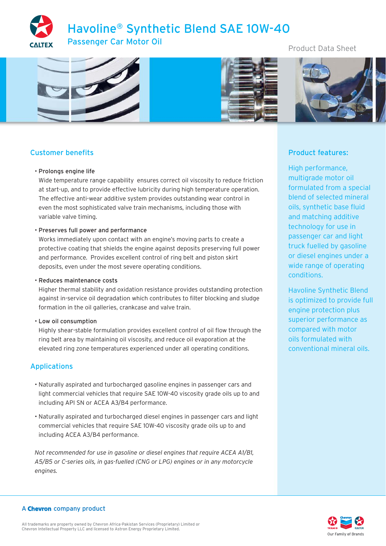# Havoline® Synthetic Blend SAE 10W-40 Passenger Car Motor Oil

Product Data Sheet



# Customer benefits

#### • Prolongs engine life

Wide temperature range capability ensures correct oil viscosity to reduce friction at start-up, and to provide effective lubricity during high temperature operation. The effective anti-wear additive system provides outstanding wear control in even the most sophisticated valve train mechanisms, including those with variable valve timing.

#### • Preserves full power and performance

Works immediately upon contact with an engine's moving parts to create a protective coating that shields the engine against deposits preserving full power and performance. Provides excellent control of ring belt and piston skirt deposits, even under the most severe operating conditions.

#### • Reduces maintenance costs

Higher thermal stability and oxidation resistance provides outstanding protection against in-service oil degradation which contributes to filter blocking and sludge formation in the oil galleries, crankcase and valve train.

### • Low oil consumption

Highly shear-stable formulation provides excellent control of oil flow through the ring belt area by maintaining oil viscosity, and reduce oil evaporation at the elevated ring zone temperatures experienced under all operating conditions.

## Applications

- Naturally aspirated and turbocharged gasoline engines in passenger cars and light commercial vehicles that require SAE 10W-40 viscosity grade oils up to and including API SN or ACEA A3/B4 performance.
- Naturally aspirated and turbocharged diesel engines in passenger cars and light commercial vehicles that require SAE 10W-40 viscosity grade oils up to and including ACEA A3/B4 performance.

*Not recommended for use in gasoline or diesel engines that require ACEA A1/B1, A5/B5 or C-series oils, in gas-fuelled (CNG or LPG) engines or in any motorcycle engines.*

# Product features:

High performance, multigrade motor oil formulated from a special blend of selected mineral oils, synthetic base fluid and matching additive technology for use in passenger car and light truck fuelled by gasoline or diesel engines under a wide range of operating conditions.

Havoline Synthetic Blend is optimized to provide full engine protection plus superior performance as compared with motor oils formulated with conventional mineral oils.



### A Chevron company product